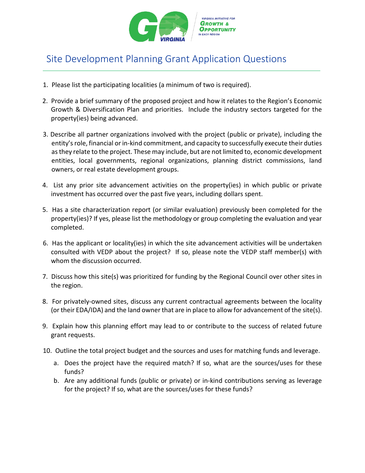

## Site Development Planning Grant Application Questions

- 1. Please list the participating localities (a minimum of two is required).
- 2. Provide a brief summary of the proposed project and how it relates to the Region's Economic Growth & Diversification Plan and priorities. Include the industry sectors targeted for the property(ies) being advanced.
- 3. Describe all partner organizations involved with the project (public or private), including the entity's role, financial or in-kind commitment, and capacity to successfully execute their duties as they relate to the project. These may include, but are not limited to, economic development entities, local governments, regional organizations, planning district commissions, land owners, or real estate development groups.
- 4. List any prior site advancement activities on the property(ies) in which public or private investment has occurred over the past five years, including dollars spent.
- 5. Has a site characterization report (or similar evaluation) previously been completed for the property(ies)? If yes, please list the methodology or group completing the evaluation and year completed.
- 6. Has the applicant or locality(ies) in which the site advancement activities will be undertaken consulted with VEDP about the project? If so, please note the VEDP staff member(s) with whom the discussion occurred.
- 7. Discuss how this site(s) was prioritized for funding by the Regional Council over other sites in the region.
- 8. For privately-owned sites, discuss any current contractual agreements between the locality (or their EDA/IDA) and the land owner that are in place to allow for advancement of the site(s).
- 9. Explain how this planning effort may lead to or contribute to the success of related future grant requests.
- 10. Outline the total project budget and the sources and uses for matching funds and leverage.
	- a. Does the project have the required match? If so, what are the sources/uses for these funds?
	- b. Are any additional funds (public or private) or in-kind contributions serving as leverage for the project? If so, what are the sources/uses for these funds?